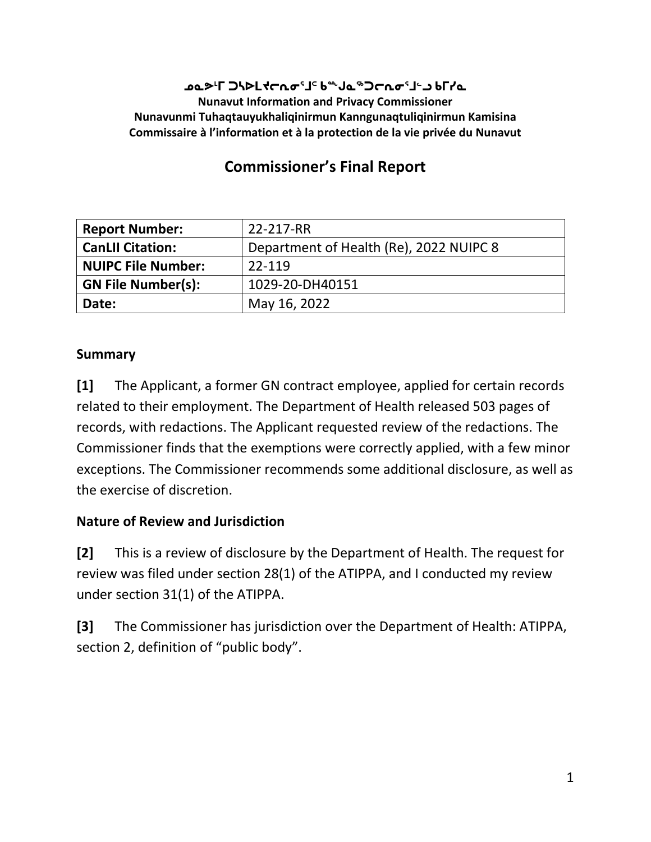#### **ᓄᓇᕗᒻᒥ ᑐᓴᐅᒪᔪᓕᕆᓂᕐᒧᑦ ᑲᖖᒍᓇᖅᑐᓕᕆᓂᕐᒧᓪᓗ ᑲᒥᓯᓇ Nunavut Information and Privacy Commissioner Nunavunmi Tuhaqtauyukhaliqinirmun Kanngunaqtuliqinirmun Kamisina Commissaire à l'information et à la protection de la vie privée du Nunavut**

# **Commissioner's Final Report**

| <b>Report Number:</b>     | 22-217-RR                               |
|---------------------------|-----------------------------------------|
| <b>CanLII Citation:</b>   | Department of Health (Re), 2022 NUIPC 8 |
| <b>NUIPC File Number:</b> | 22-119                                  |
| <b>GN File Number(s):</b> | 1029-20-DH40151                         |
| Date:                     | May 16, 2022                            |

#### **Summary**

**[1]** The Applicant, a former GN contract employee, applied for certain records related to their employment. The Department of Health released 503 pages of records, with redactions. The Applicant requested review of the redactions. The Commissioner finds that the exemptions were correctly applied, with a few minor exceptions. The Commissioner recommends some additional disclosure, as well as the exercise of discretion.

#### **Nature of Review and Jurisdiction**

**[2]** This is a review of disclosure by the Department of Health. The request for review was filed under section 28(1) of the ATIPPA, and I conducted my review under section 31(1) of the ATIPPA.

**[3]** The Commissioner has jurisdiction over the Department of Health: ATIPPA, section 2, definition of "public body".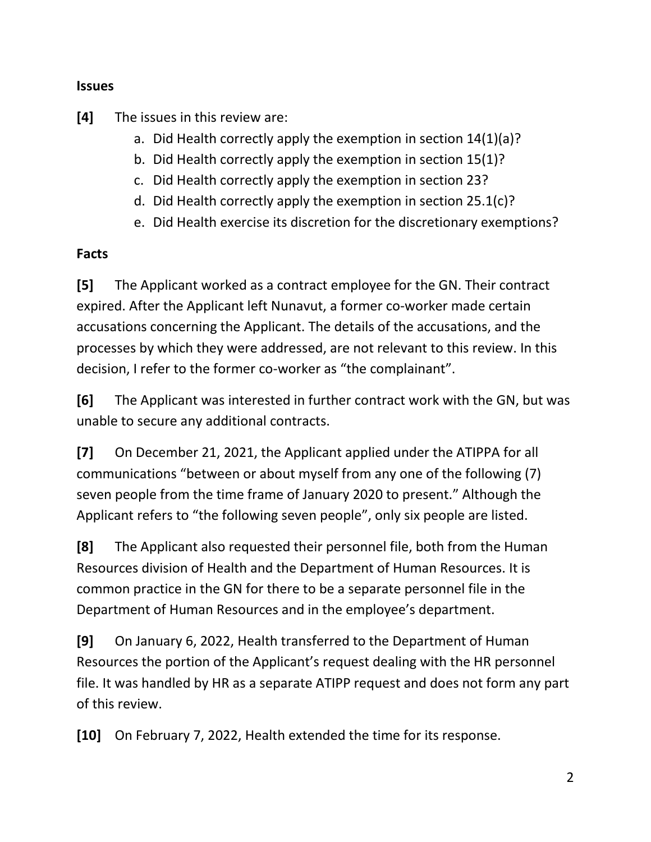#### **Issues**

**[4]** The issues in this review are:

- a. Did Health correctly apply the exemption in section 14(1)(a)?
- b. Did Health correctly apply the exemption in section 15(1)?
- c. Did Health correctly apply the exemption in section 23?
- d. Did Health correctly apply the exemption in section 25.1(c)?
- e. Did Health exercise its discretion for the discretionary exemptions?

#### **Facts**

**[5]** The Applicant worked as a contract employee for the GN. Their contract expired. After the Applicant left Nunavut, a former co-worker made certain accusations concerning the Applicant. The details of the accusations, and the processes by which they were addressed, are not relevant to this review. In this decision, I refer to the former co-worker as "the complainant".

**[6]** The Applicant was interested in further contract work with the GN, but was unable to secure any additional contracts.

**[7]** On December 21, 2021, the Applicant applied under the ATIPPA for all communications "between or about myself from any one of the following (7) seven people from the time frame of January 2020 to present." Although the Applicant refers to "the following seven people", only six people are listed.

**[8]** The Applicant also requested their personnel file, both from the Human Resources division of Health and the Department of Human Resources. It is common practice in the GN for there to be a separate personnel file in the Department of Human Resources and in the employee's department.

**[9]** On January 6, 2022, Health transferred to the Department of Human Resources the portion of the Applicant's request dealing with the HR personnel file. It was handled by HR as a separate ATIPP request and does not form any part of this review.

**[10]** On February 7, 2022, Health extended the time for its response.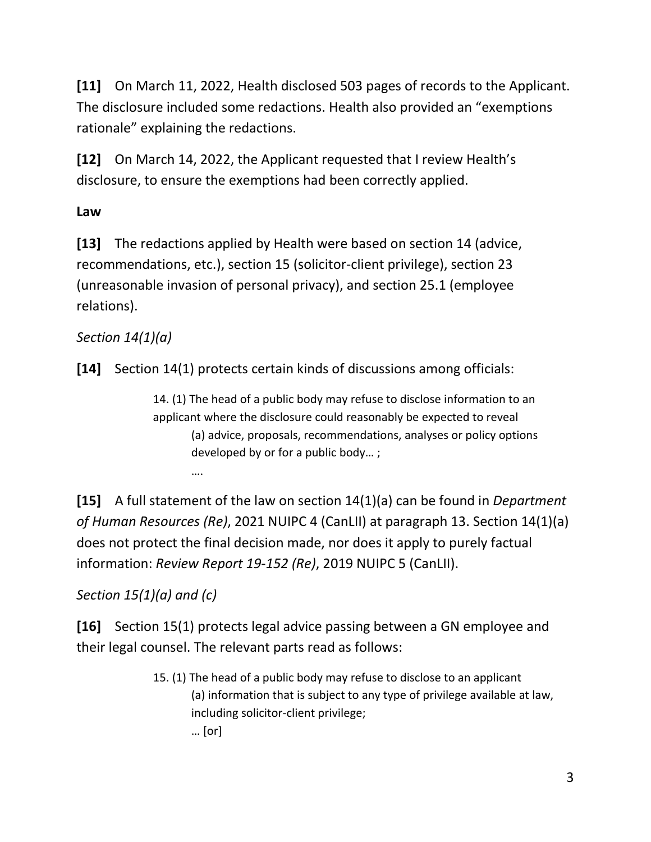**[11]** On March 11, 2022, Health disclosed 503 pages of records to the Applicant. The disclosure included some redactions. Health also provided an "exemptions rationale" explaining the redactions.

**[12]** On March 14, 2022, the Applicant requested that I review Health's disclosure, to ensure the exemptions had been correctly applied.

## **Law**

**[13]** The redactions applied by Health were based on section 14 (advice, recommendations, etc.), section 15 (solicitor-client privilege), section 23 (unreasonable invasion of personal privacy), and section 25.1 (employee relations).

## *Section 14(1)(a)*

**[14]** Section 14(1) protects certain kinds of discussions among officials:

14. (1) The head of a public body may refuse to disclose information to an applicant where the disclosure could reasonably be expected to reveal (a) advice, proposals, recommendations, analyses or policy options developed by or for a public body… ;

**[15]** A full statement of the law on section 14(1)(a) can be found in *Department of Human Resources (Re)*, 2021 NUIPC 4 (CanLII) at paragraph 13. Section 14(1)(a) does not protect the final decision made, nor does it apply to purely factual information: *Review Report 19-152 (Re)*, 2019 NUIPC 5 (CanLII).

*Section 15(1)(a) and (c)*

….

**[16]** Section 15(1) protects legal advice passing between a GN employee and their legal counsel. The relevant parts read as follows:

> 15. (1) The head of a public body may refuse to disclose to an applicant (a) information that is subject to any type of privilege available at law, including solicitor-client privilege; … [or]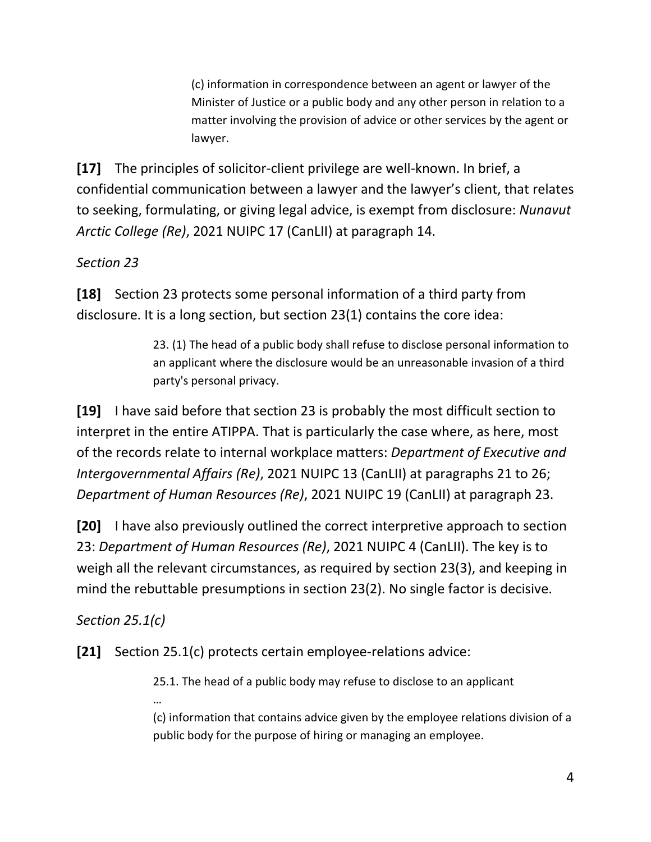(c) information in correspondence between an agent or lawyer of the Minister of Justice or a public body and any other person in relation to a matter involving the provision of advice or other services by the agent or lawyer.

**[17]** The principles of solicitor-client privilege are well-known. In brief, a confidential communication between a lawyer and the lawyer's client, that relates to seeking, formulating, or giving legal advice, is exempt from disclosure: *Nunavut Arctic College (Re)*, 2021 NUIPC 17 (CanLII) at paragraph 14.

### *Section 23*

**[18]** Section 23 protects some personal information of a third party from disclosure. It is a long section, but section 23(1) contains the core idea:

> 23. (1) The head of a public body shall refuse to disclose personal information to an applicant where the disclosure would be an unreasonable invasion of a third party's personal privacy.

**[19]** I have said before that section 23 is probably the most difficult section to interpret in the entire ATIPPA. That is particularly the case where, as here, most of the records relate to internal workplace matters: *Department of Executive and Intergovernmental Affairs (Re)*, 2021 NUIPC 13 (CanLII) at paragraphs 21 to 26; *Department of Human Resources (Re)*, 2021 NUIPC 19 (CanLII) at paragraph 23.

**[20]** I have also previously outlined the correct interpretive approach to section 23: *Department of Human Resources (Re)*, 2021 NUIPC 4 (CanLII). The key is to weigh all the relevant circumstances, as required by section 23(3), and keeping in mind the rebuttable presumptions in section 23(2). No single factor is decisive.

### *Section 25.1(c)*

…

**[21]** Section 25.1(c) protects certain employee-relations advice:

25.1. The head of a public body may refuse to disclose to an applicant

(c) information that contains advice given by the employee relations division of a public body for the purpose of hiring or managing an employee.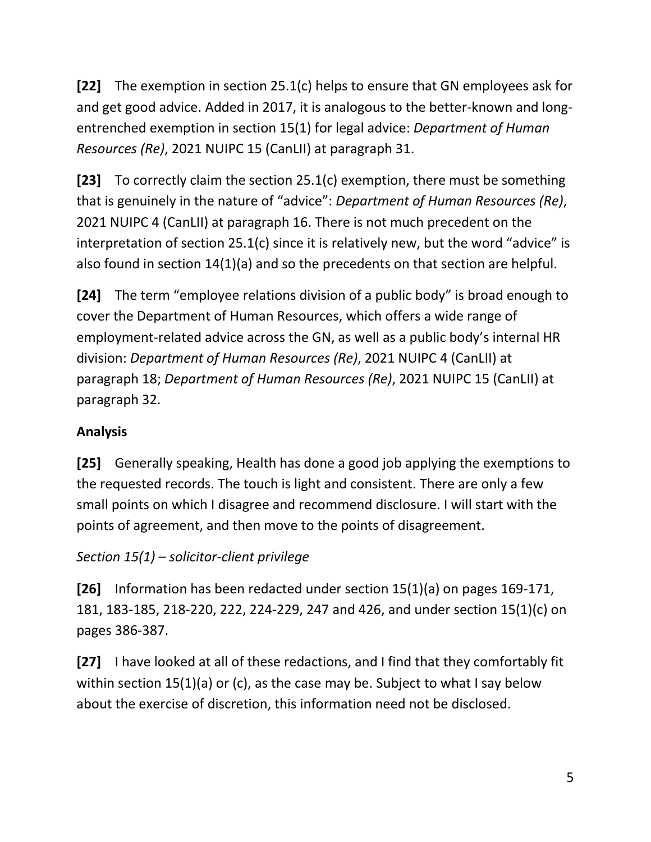**[22]** The exemption in section 25.1(c) helps to ensure that GN employees ask for and get good advice. Added in 2017, it is analogous to the better-known and longentrenched exemption in section 15(1) for legal advice: *Department of Human Resources (Re)*, 2021 NUIPC 15 (CanLII) at paragraph 31.

**[23]** To correctly claim the section 25.1(c) exemption, there must be something that is genuinely in the nature of "advice": *Department of Human Resources (Re)*, 2021 NUIPC 4 (CanLII) at paragraph 16. There is not much precedent on the interpretation of section 25.1(c) since it is relatively new, but the word "advice" is also found in section 14(1)(a) and so the precedents on that section are helpful.

**[24]** The term "employee relations division of a public body" is broad enough to cover the Department of Human Resources, which offers a wide range of employment-related advice across the GN, as well as a public body's internal HR division: *Department of Human Resources (Re)*, 2021 NUIPC 4 (CanLII) at paragraph 18; *Department of Human Resources (Re)*, 2021 NUIPC 15 (CanLII) at paragraph 32.

## **Analysis**

**[25]** Generally speaking, Health has done a good job applying the exemptions to the requested records. The touch is light and consistent. There are only a few small points on which I disagree and recommend disclosure. I will start with the points of agreement, and then move to the points of disagreement.

# *Section 15(1) – solicitor-client privilege*

**[26]** Information has been redacted under section 15(1)(a) on pages 169-171, 181, 183-185, 218-220, 222, 224-229, 247 and 426, and under section 15(1)(c) on pages 386-387.

**[27]** I have looked at all of these redactions, and I find that they comfortably fit within section 15(1)(a) or (c), as the case may be. Subject to what I say below about the exercise of discretion, this information need not be disclosed.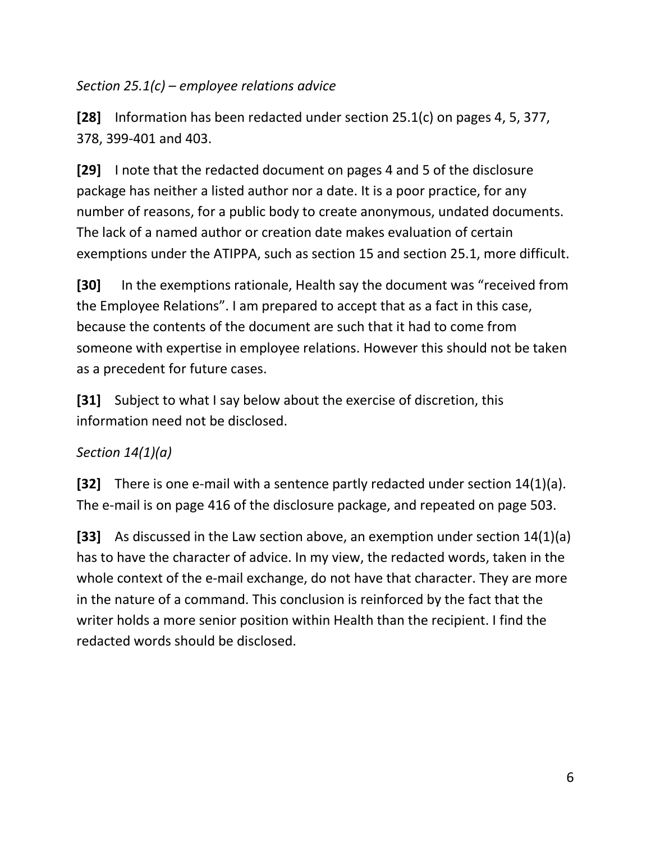*Section 25.1(c) – employee relations advice*

**[28]** Information has been redacted under section 25.1(c) on pages 4, 5, 377, 378, 399-401 and 403.

**[29]** I note that the redacted document on pages 4 and 5 of the disclosure package has neither a listed author nor a date. It is a poor practice, for any number of reasons, for a public body to create anonymous, undated documents. The lack of a named author or creation date makes evaluation of certain exemptions under the ATIPPA, such as section 15 and section 25.1, more difficult.

**[30]** In the exemptions rationale, Health say the document was "received from the Employee Relations". I am prepared to accept that as a fact in this case, because the contents of the document are such that it had to come from someone with expertise in employee relations. However this should not be taken as a precedent for future cases.

**[31]** Subject to what I say below about the exercise of discretion, this information need not be disclosed.

## *Section 14(1)(a)*

**[32]** There is one e-mail with a sentence partly redacted under section 14(1)(a). The e-mail is on page 416 of the disclosure package, and repeated on page 503.

**[33]** As discussed in the Law section above, an exemption under section 14(1)(a) has to have the character of advice. In my view, the redacted words, taken in the whole context of the e-mail exchange, do not have that character. They are more in the nature of a command. This conclusion is reinforced by the fact that the writer holds a more senior position within Health than the recipient. I find the redacted words should be disclosed.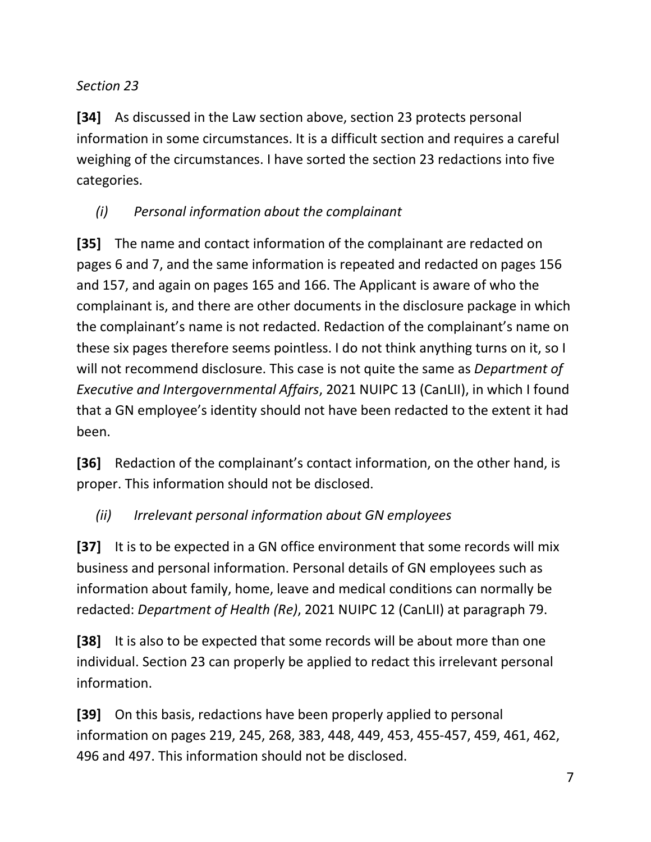### *Section 23*

**[34]** As discussed in the Law section above, section 23 protects personal information in some circumstances. It is a difficult section and requires a careful weighing of the circumstances. I have sorted the section 23 redactions into five categories.

### *(i) Personal information about the complainant*

**[35]** The name and contact information of the complainant are redacted on pages 6 and 7, and the same information is repeated and redacted on pages 156 and 157, and again on pages 165 and 166. The Applicant is aware of who the complainant is, and there are other documents in the disclosure package in which the complainant's name is not redacted. Redaction of the complainant's name on these six pages therefore seems pointless. I do not think anything turns on it, so I will not recommend disclosure. This case is not quite the same as *Department of Executive and Intergovernmental Affairs*, 2021 NUIPC 13 (CanLII), in which I found that a GN employee's identity should not have been redacted to the extent it had been.

**[36]** Redaction of the complainant's contact information, on the other hand, is proper. This information should not be disclosed.

### *(ii) Irrelevant personal information about GN employees*

**[37]** It is to be expected in a GN office environment that some records will mix business and personal information. Personal details of GN employees such as information about family, home, leave and medical conditions can normally be redacted: *Department of Health (Re)*, 2021 NUIPC 12 (CanLII) at paragraph 79.

**[38]** It is also to be expected that some records will be about more than one individual. Section 23 can properly be applied to redact this irrelevant personal information.

**[39]** On this basis, redactions have been properly applied to personal information on pages 219, 245, 268, 383, 448, 449, 453, 455-457, 459, 461, 462, 496 and 497. This information should not be disclosed.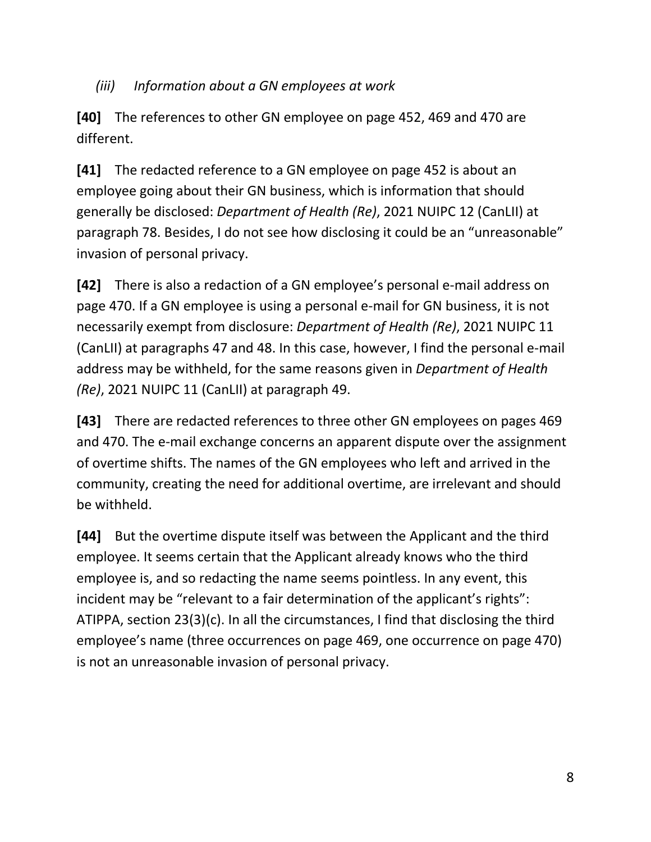#### *(iii) Information about a GN employees at work*

**[40]** The references to other GN employee on page 452, 469 and 470 are different.

**[41]** The redacted reference to a GN employee on page 452 is about an employee going about their GN business, which is information that should generally be disclosed: *Department of Health (Re)*, 2021 NUIPC 12 (CanLII) at paragraph 78. Besides, I do not see how disclosing it could be an "unreasonable" invasion of personal privacy.

**[42]** There is also a redaction of a GN employee's personal e-mail address on page 470. If a GN employee is using a personal e-mail for GN business, it is not necessarily exempt from disclosure: *Department of Health (Re)*, 2021 NUIPC 11 (CanLII) at paragraphs 47 and 48. In this case, however, I find the personal e-mail address may be withheld, for the same reasons given in *Department of Health (Re)*, 2021 NUIPC 11 (CanLII) at paragraph 49.

**[43]** There are redacted references to three other GN employees on pages 469 and 470. The e-mail exchange concerns an apparent dispute over the assignment of overtime shifts. The names of the GN employees who left and arrived in the community, creating the need for additional overtime, are irrelevant and should be withheld.

**[44]** But the overtime dispute itself was between the Applicant and the third employee. It seems certain that the Applicant already knows who the third employee is, and so redacting the name seems pointless. In any event, this incident may be "relevant to a fair determination of the applicant's rights": ATIPPA, section 23(3)(c). In all the circumstances, I find that disclosing the third employee's name (three occurrences on page 469, one occurrence on page 470) is not an unreasonable invasion of personal privacy.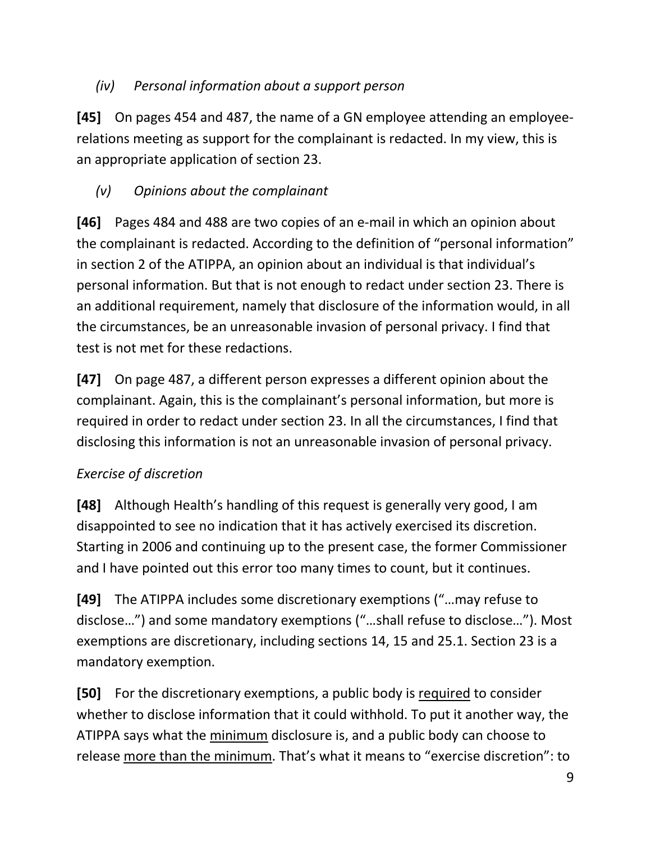### *(iv) Personal information about a support person*

**[45]** On pages 454 and 487, the name of a GN employee attending an employeerelations meeting as support for the complainant is redacted. In my view, this is an appropriate application of section 23.

## *(v) Opinions about the complainant*

**[46]** Pages 484 and 488 are two copies of an e-mail in which an opinion about the complainant is redacted. According to the definition of "personal information" in section 2 of the ATIPPA, an opinion about an individual is that individual's personal information. But that is not enough to redact under section 23. There is an additional requirement, namely that disclosure of the information would, in all the circumstances, be an unreasonable invasion of personal privacy. I find that test is not met for these redactions.

**[47]** On page 487, a different person expresses a different opinion about the complainant. Again, this is the complainant's personal information, but more is required in order to redact under section 23. In all the circumstances, I find that disclosing this information is not an unreasonable invasion of personal privacy.

## *Exercise of discretion*

**[48]** Although Health's handling of this request is generally very good, I am disappointed to see no indication that it has actively exercised its discretion. Starting in 2006 and continuing up to the present case, the former Commissioner and I have pointed out this error too many times to count, but it continues.

**[49]** The ATIPPA includes some discretionary exemptions ("…may refuse to disclose…") and some mandatory exemptions ("…shall refuse to disclose…"). Most exemptions are discretionary, including sections 14, 15 and 25.1. Section 23 is a mandatory exemption.

**[50]** For the discretionary exemptions, a public body is required to consider whether to disclose information that it could withhold. To put it another way, the ATIPPA says what the minimum disclosure is, and a public body can choose to release more than the minimum. That's what it means to "exercise discretion": to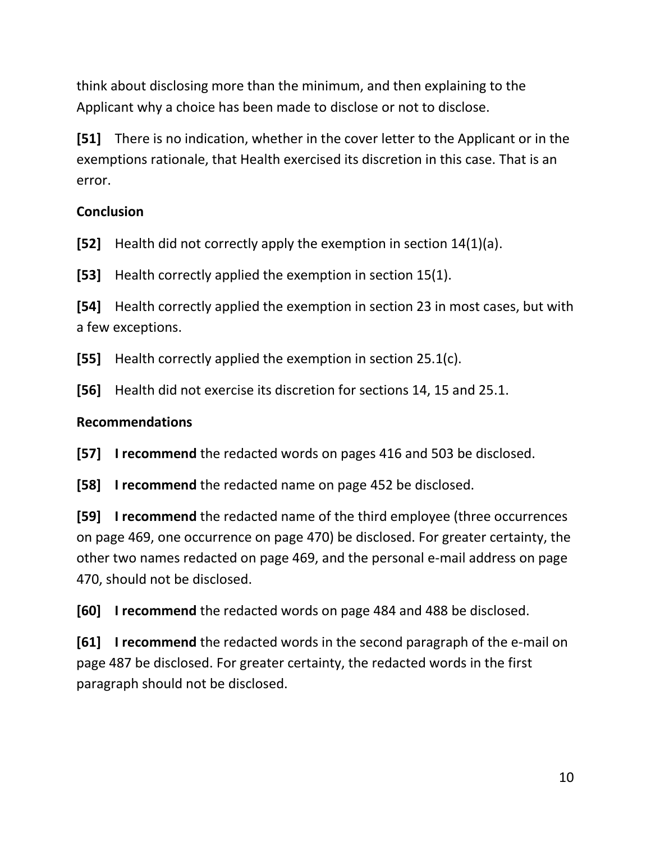think about disclosing more than the minimum, and then explaining to the Applicant why a choice has been made to disclose or not to disclose.

**[51]** There is no indication, whether in the cover letter to the Applicant or in the exemptions rationale, that Health exercised its discretion in this case. That is an error.

#### **Conclusion**

**[52]** Health did not correctly apply the exemption in section 14(1)(a).

**[53]** Health correctly applied the exemption in section 15(1).

**[54]** Health correctly applied the exemption in section 23 in most cases, but with a few exceptions.

**[55]** Health correctly applied the exemption in section 25.1(c).

**[56]** Health did not exercise its discretion for sections 14, 15 and 25.1.

#### **Recommendations**

**[57] I recommend** the redacted words on pages 416 and 503 be disclosed.

**[58] I recommend** the redacted name on page 452 be disclosed.

**[59] I recommend** the redacted name of the third employee (three occurrences on page 469, one occurrence on page 470) be disclosed. For greater certainty, the other two names redacted on page 469, and the personal e-mail address on page 470, should not be disclosed.

**[60] I recommend** the redacted words on page 484 and 488 be disclosed.

**[61] I recommend** the redacted words in the second paragraph of the e-mail on page 487 be disclosed. For greater certainty, the redacted words in the first paragraph should not be disclosed.